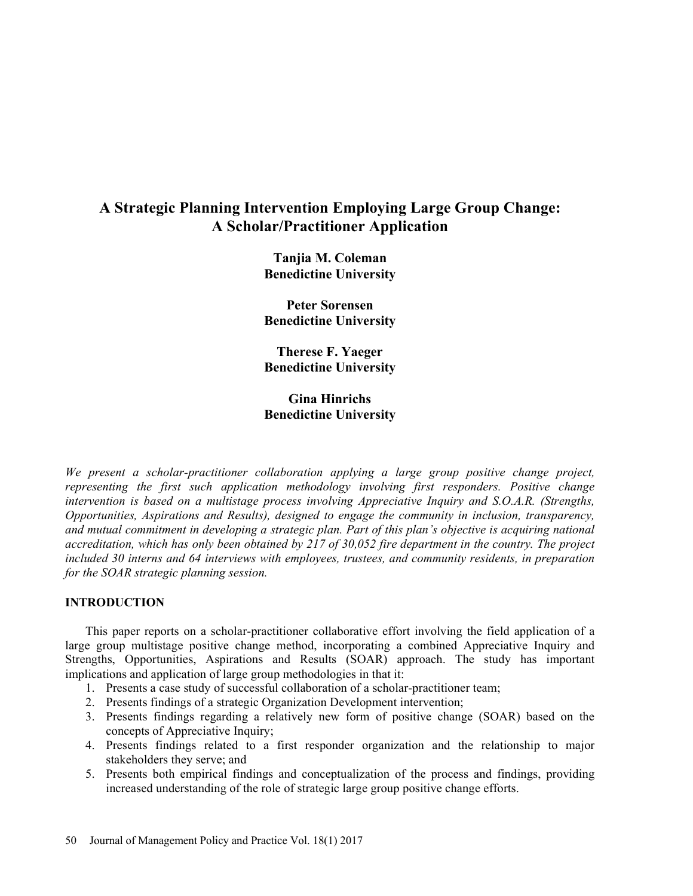# A Strategic Planning Intervention Employing Large Group Change: A Scholar/Practitioner Application

Tanjia M. Coleman Benedictine University

Peter Sorensen Benedictine University

Therese F. Yaeger Benedictine University

Gina Hinrichs Benedictine University

We present a scholar-practitioner collaboration applying a large group positive change project, representing the first such application methodology involving first responders. Positive change intervention is based on a multistage process involving Appreciative Inquiry and S.O.A.R. (Strengths, Opportunities, Aspirations and Results), designed to engage the community in inclusion, transparency, and mutual commitment in developing a strategic plan. Part of this plan's objective is acquiring national accreditation, which has only been obtained by 217 of 30,052 fire department in the country. The project included 30 interns and 64 interviews with employees, trustees, and community residents, in preparation for the SOAR strategic planning session.

# INTRODUCTION

This paper reports on a scholar-practitioner collaborative effort involving the field application of a large group multistage positive change method, incorporating a combined Appreciative Inquiry and Strengths, Opportunities, Aspirations and Results (SOAR) approach. The study has important implications and application of large group methodologies in that it:

- 1. Presents a case study of successful collaboration of a scholar-practitioner team;
- 2. Presents findings of a strategic Organization Development intervention;
- 3. Presents findings regarding a relatively new form of positive change (SOAR) based on the concepts of Appreciative Inquiry;
- 4. Presents findings related to a first responder organization and the relationship to major stakeholders they serve; and
- 5. Presents both empirical findings and conceptualization of the process and findings, providing increased understanding of the role of strategic large group positive change efforts.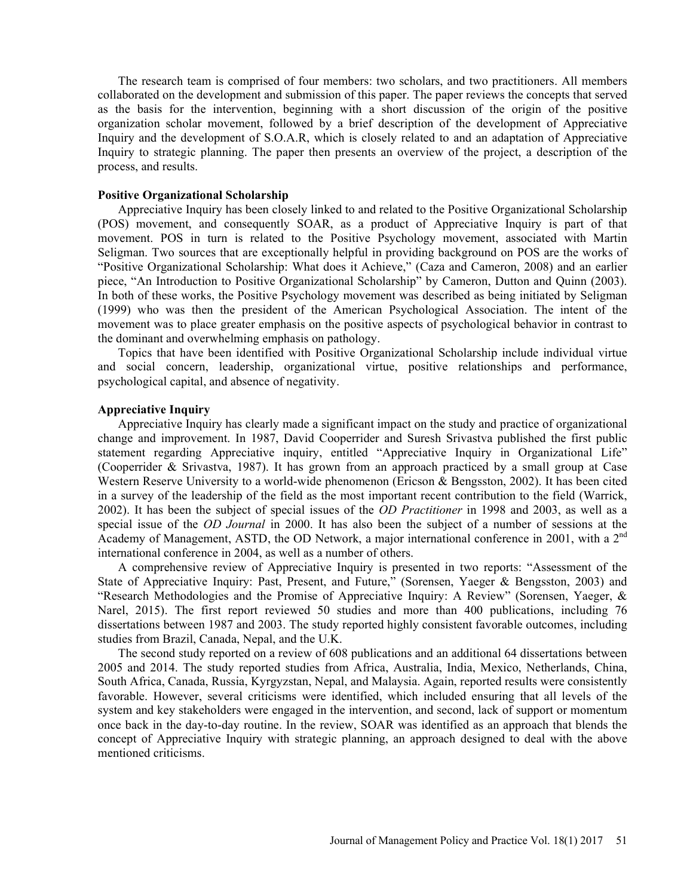The research team is comprised of four members: two scholars, and two practitioners. All members collaborated on the development and submission of this paper. The paper reviews the concepts that served as the basis for the intervention, beginning with a short discussion of the origin of the positive organization scholar movement, followed by a brief description of the development of Appreciative Inquiry and the development of S.O.A.R, which is closely related to and an adaptation of Appreciative Inquiry to strategic planning. The paper then presents an overview of the project, a description of the process, and results.

#### Positive Organizational Scholarship

Appreciative Inquiry has been closely linked to and related to the Positive Organizational Scholarship (POS) movement, and consequently SOAR, as a product of Appreciative Inquiry is part of that movement. POS in turn is related to the Positive Psychology movement, associated with Martin Seligman. Two sources that are exceptionally helpful in providing background on POS are the works of "Positive Organizational Scholarship: What does it Achieve," (Caza and Cameron, 2008) and an earlier piece, "An Introduction to Positive Organizational Scholarship" by Cameron, Dutton and Quinn (2003). In both of these works, the Positive Psychology movement was described as being initiated by Seligman (1999) who was then the president of the American Psychological Association. The intent of the movement was to place greater emphasis on the positive aspects of psychological behavior in contrast to the dominant and overwhelming emphasis on pathology.

Topics that have been identified with Positive Organizational Scholarship include individual virtue and social concern, leadership, organizational virtue, positive relationships and performance, psychological capital, and absence of negativity.

# Appreciative Inquiry

Appreciative Inquiry has clearly made a significant impact on the study and practice of organizational change and improvement. In 1987, David Cooperrider and Suresh Srivastva published the first public statement regarding Appreciative inquiry, entitled "Appreciative Inquiry in Organizational Life" (Cooperrider & Srivastva, 1987). It has grown from an approach practiced by a small group at Case Western Reserve University to a world-wide phenomenon (Ericson & Bengsston, 2002). It has been cited in a survey of the leadership of the field as the most important recent contribution to the field (Warrick, 2002). It has been the subject of special issues of the OD Practitioner in 1998 and 2003, as well as a special issue of the OD Journal in 2000. It has also been the subject of a number of sessions at the Academy of Management, ASTD, the OD Network, a major international conference in 2001, with a 2nd international conference in 2004, as well as a number of others.

A comprehensive review of Appreciative Inquiry is presented in two reports: "Assessment of the State of Appreciative Inquiry: Past, Present, and Future," (Sorensen, Yaeger & Bengsston, 2003) and "Research Methodologies and the Promise of Appreciative Inquiry: A Review" (Sorensen, Yaeger, & Narel, 2015). The first report reviewed 50 studies and more than 400 publications, including 76 dissertations between 1987 and 2003. The study reported highly consistent favorable outcomes, including studies from Brazil, Canada, Nepal, and the U.K.

The second study reported on a review of 608 publications and an additional 64 dissertations between 2005 and 2014. The study reported studies from Africa, Australia, India, Mexico, Netherlands, China, South Africa, Canada, Russia, Kyrgyzstan, Nepal, and Malaysia. Again, reported results were consistently favorable. However, several criticisms were identified, which included ensuring that all levels of the system and key stakeholders were engaged in the intervention, and second, lack of support or momentum once back in the day-to-day routine. In the review, SOAR was identified as an approach that blends the concept of Appreciative Inquiry with strategic planning, an approach designed to deal with the above mentioned criticisms.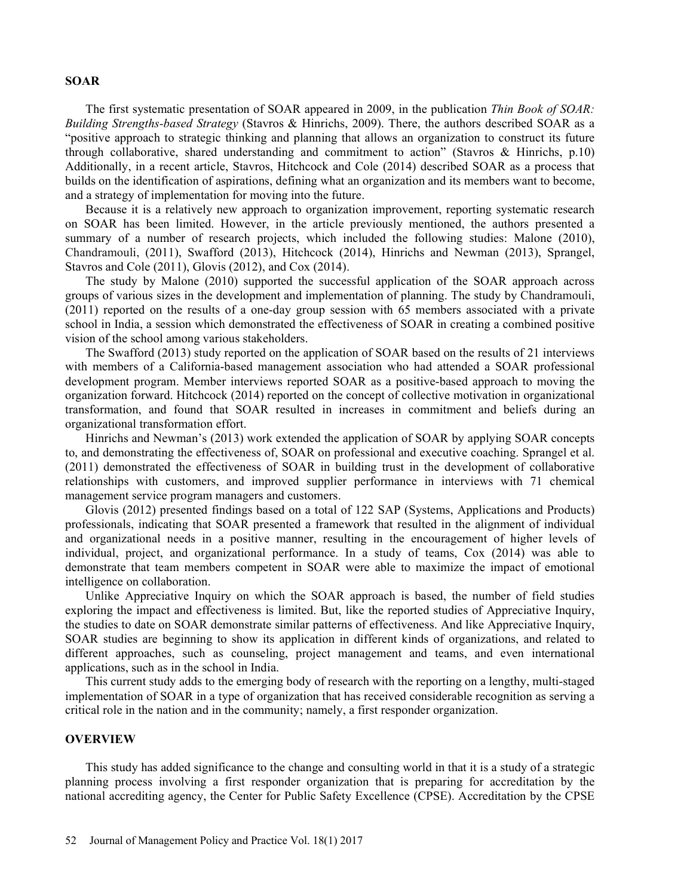#### SOAR

The first systematic presentation of SOAR appeared in 2009, in the publication Thin Book of SOAR: Building Strengths-based Strategy (Stavros & Hinrichs, 2009). There, the authors described SOAR as a positive approach to strategic thinking and planning that allows an organization to construct its future through collaborative, shared understanding and commitment to action" (Stavros & Hinrichs,  $p.10$ ) Additionally, in a recent article, Stavros, Hitchcock and Cole (2014) described SOAR as a process that builds on the identification of aspirations, defining what an organization and its members want to become, and a strategy of implementation for moving into the future.

Because it is a relatively new approach to organization improvement, reporting systematic research on SOAR has been limited. However, in the article previously mentioned, the authors presented a summary of a number of research projects, which included the following studies: Malone (2010), Chandramouli, (2011), Swafford (2013), Hitchcock (2014), Hinrichs and Newman (2013), Sprangel, Stavros and Cole (2011), Glovis (2012), and Cox (2014).

The study by Malone (2010) supported the successful application of the SOAR approach across groups of various sizes in the development and implementation of planning. The study by Chandramouli, (2011) reported on the results of a one-day group session with 65 members associated with a private school in India, a session which demonstrated the effectiveness of SOAR in creating a combined positive vision of the school among various stakeholders.

The Swafford (2013) study reported on the application of SOAR based on the results of 21 interviews with members of a California-based management association who had attended a SOAR professional development program. Member interviews reported SOAR as a positive-based approach to moving the organization forward. Hitchcock (2014) reported on the concept of collective motivation in organizational transformation, and found that SOAR resulted in increases in commitment and beliefs during an organizational transformation effort.

Hinrichs and Newman's (2013) work extended the application of SOAR by applying SOAR concepts to, and demonstrating the effectiveness of, SOAR on professional and executive coaching. Sprangel et al. (2011) demonstrated the effectiveness of SOAR in building trust in the development of collaborative relationships with customers, and improved supplier performance in interviews with 71 chemical management service program managers and customers.

Glovis (2012) presented findings based on a total of 122 SAP (Systems, Applications and Products) professionals, indicating that SOAR presented a framework that resulted in the alignment of individual and organizational needs in a positive manner, resulting in the encouragement of higher levels of individual, project, and organizational performance. In a study of teams, Cox (2014) was able to demonstrate that team members competent in SOAR were able to maximize the impact of emotional intelligence on collaboration.

Unlike Appreciative Inquiry on which the SOAR approach is based, the number of field studies exploring the impact and effectiveness is limited. But, like the reported studies of Appreciative Inquiry, the studies to date on SOAR demonstrate similar patterns of effectiveness. And like Appreciative Inquiry, SOAR studies are beginning to show its application in different kinds of organizations, and related to different approaches, such as counseling, project management and teams, and even international applications, such as in the school in India.

This current study adds to the emerging body of research with the reporting on a lengthy, multi-staged implementation of SOAR in a type of organization that has received considerable recognition as serving a critical role in the nation and in the community; namely, a first responder organization.

#### OVERVIEW

This study has added significance to the change and consulting world in that it is a study of a strategic planning process involving a first responder organization that is preparing for accreditation by the national accrediting agency, the Center for Public Safety Excellence (CPSE). Accreditation by the CPSE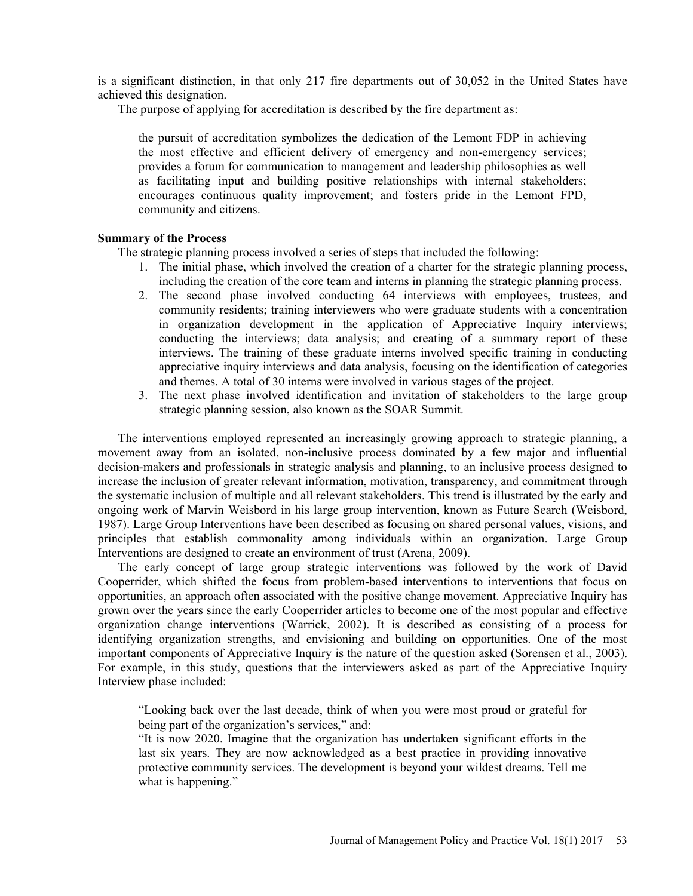is a significant distinction, in that only 217 fire departments out of 30,052 in the United States have achieved this designation.

The purpose of applying for accreditation is described by the fire department as:

the pursuit of accreditation symbolizes the dedication of the Lemont FDP in achieving the most effective and efficient delivery of emergency and non-emergency services; provides a forum for communication to management and leadership philosophies as well as facilitating input and building positive relationships with internal stakeholders; encourages continuous quality improvement; and fosters pride in the Lemont FPD, community and citizens.

## Summary of the Process

The strategic planning process involved a series of steps that included the following:

- 1. The initial phase, which involved the creation of a charter for the strategic planning process, including the creation of the core team and interns in planning the strategic planning process.
- 2. The second phase involved conducting 64 interviews with employees, trustees, and community residents; training interviewers who were graduate students with a concentration in organization development in the application of Appreciative Inquiry interviews; conducting the interviews; data analysis; and creating of a summary report of these interviews. The training of these graduate interns involved specific training in conducting appreciative inquiry interviews and data analysis, focusing on the identification of categories and themes. A total of 30 interns were involved in various stages of the project.
- 3. The next phase involved identification and invitation of stakeholders to the large group strategic planning session, also known as the SOAR Summit.

The interventions employed represented an increasingly growing approach to strategic planning, a movement away from an isolated, non-inclusive process dominated by a few major and influential decision-makers and professionals in strategic analysis and planning, to an inclusive process designed to increase the inclusion of greater relevant information, motivation, transparency, and commitment through the systematic inclusion of multiple and all relevant stakeholders. This trend is illustrated by the early and ongoing work of Marvin Weisbord in his large group intervention, known as Future Search (Weisbord, 1987). Large Group Interventions have been described as focusing on shared personal values, visions, and principles that establish commonality among individuals within an organization. Large Group Interventions are designed to create an environment of trust (Arena, 2009).

The early concept of large group strategic interventions was followed by the work of David Cooperrider, which shifted the focus from problem-based interventions to interventions that focus on opportunities, an approach often associated with the positive change movement. Appreciative Inquiry has grown over the years since the early Cooperrider articles to become one of the most popular and effective organization change interventions (Warrick, 2002). It is described as consisting of a process for identifying organization strengths, and envisioning and building on opportunities. One of the most important components of Appreciative Inquiry is the nature of the question asked (Sorensen et al., 2003). For example, in this study, questions that the interviewers asked as part of the Appreciative Inquiry Interview phase included:

Looking back over the last decade, think of when you were most proud or grateful for being part of the organization's services," and:

It is now 2020. Imagine that the organization has undertaken significant efforts in the last six years. They are now acknowledged as a best practice in providing innovative protective community services. The development is beyond your wildest dreams. Tell me what is happening."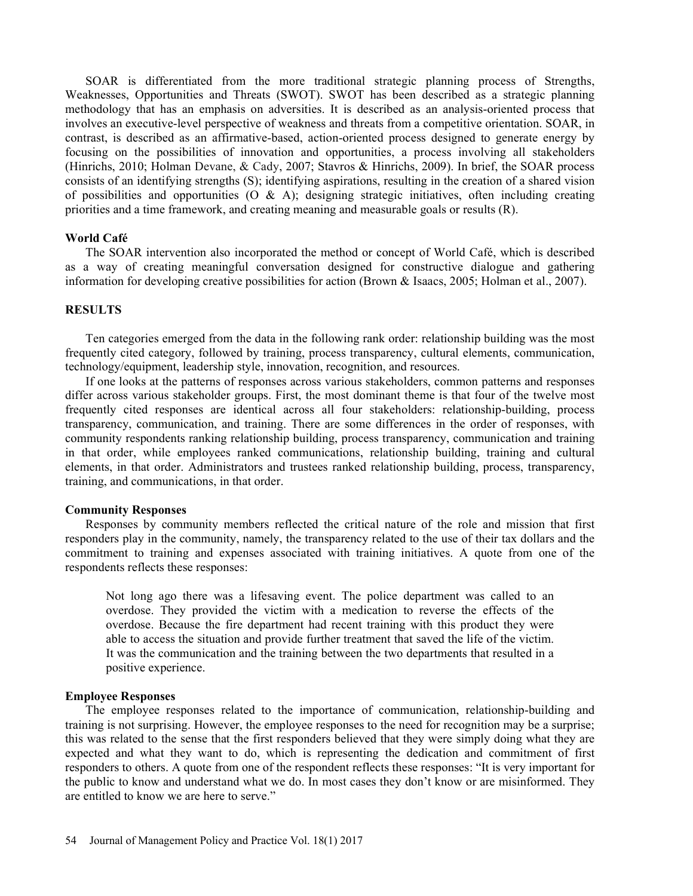SOAR is differentiated from the more traditional strategic planning process of Strengths, Weaknesses, Opportunities and Threats (SWOT). SWOT has been described as a strategic planning methodology that has an emphasis on adversities. It is described as an analysis-oriented process that involves an executive-level perspective of weakness and threats from a competitive orientation. SOAR, in contrast, is described as an affirmative-based, action-oriented process designed to generate energy by focusing on the possibilities of innovation and opportunities, a process involving all stakeholders (Hinrichs, 2010; Holman Devane, & Cady, 2007; Stavros & Hinrichs, 2009). In brief, the SOAR process consists of an identifying strengths (S); identifying aspirations, resulting in the creation of a shared vision of possibilities and opportunities  $(O \& A)$ ; designing strategic initiatives, often including creating priorities and a time framework, and creating meaning and measurable goals or results (R).

#### World Café

The SOAR intervention also incorporated the method or concept of World Café, which is described as a way of creating meaningful conversation designed for constructive dialogue and gathering information for developing creative possibilities for action (Brown & Isaacs, 2005; Holman et al., 2007).

#### **RESULTS**

Ten categories emerged from the data in the following rank order: relationship building was the most frequently cited category, followed by training, process transparency, cultural elements, communication, technology/equipment, leadership style, innovation, recognition, and resources.

If one looks at the patterns of responses across various stakeholders, common patterns and responses differ across various stakeholder groups. First, the most dominant theme is that four of the twelve most frequently cited responses are identical across all four stakeholders: relationship-building, process transparency, communication, and training. There are some differences in the order of responses, with community respondents ranking relationship building, process transparency, communication and training in that order, while employees ranked communications, relationship building, training and cultural elements, in that order. Administrators and trustees ranked relationship building, process, transparency, training, and communications, in that order.

#### Community Responses

Responses by community members reflected the critical nature of the role and mission that first responders play in the community, namely, the transparency related to the use of their tax dollars and the commitment to training and expenses associated with training initiatives. A quote from one of the respondents reflects these responses:

Not long ago there was a lifesaving event. The police department was called to an overdose. They provided the victim with a medication to reverse the effects of the overdose. Because the fire department had recent training with this product they were able to access the situation and provide further treatment that saved the life of the victim. It was the communication and the training between the two departments that resulted in a positive experience.

#### Employee Responses

The employee responses related to the importance of communication, relationship-building and training is not surprising. However, the employee responses to the need for recognition may be a surprise; this was related to the sense that the first responders believed that they were simply doing what they are expected and what they want to do, which is representing the dedication and commitment of first responders to others. A quote from one of the respondent reflects these responses: "It is very important for the public to know and understand what we do. In most cases they don't know or are misinformed. They are entitled to know we are here to serve.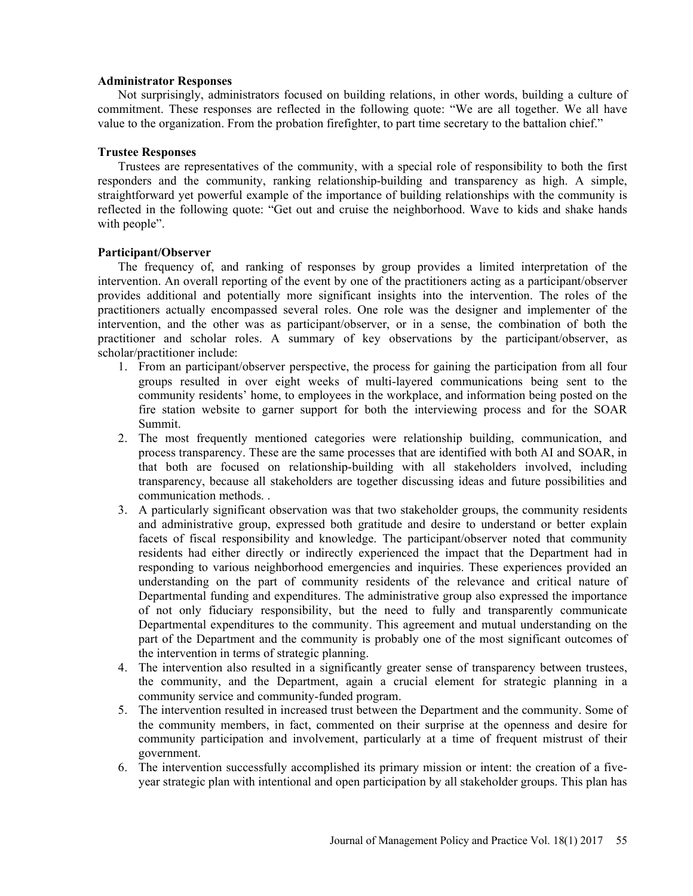## Administrator Responses

Not surprisingly, administrators focused on building relations, in other words, building a culture of commitment. These responses are reflected in the following quote: "We are all together. We all have value to the organization. From the probation firefighter, to part time secretary to the battalion chief.

## Trustee Responses

Trustees are representatives of the community, with a special role of responsibility to both the first responders and the community, ranking relationship-building and transparency as high. A simple, straightforward yet powerful example of the importance of building relationships with the community is reflected in the following quote: "Get out and cruise the neighborhood. Wave to kids and shake hands with people".

## Participant/Observer

The frequency of, and ranking of responses by group provides a limited interpretation of the intervention. An overall reporting of the event by one of the practitioners acting as a participant/observer provides additional and potentially more significant insights into the intervention. The roles of the practitioners actually encompassed several roles. One role was the designer and implementer of the intervention, and the other was as participant/observer, or in a sense, the combination of both the practitioner and scholar roles. A summary of key observations by the participant/observer, as scholar/practitioner include:

- 1. From an participant/observer perspective, the process for gaining the participation from all four groups resulted in over eight weeks of multi-layered communications being sent to the community residents' home, to employees in the workplace, and information being posted on the fire station website to garner support for both the interviewing process and for the SOAR Summit.
- 2. The most frequently mentioned categories were relationship building, communication, and process transparency. These are the same processes that are identified with both AI and SOAR, in that both are focused on relationship-building with all stakeholders involved, including transparency, because all stakeholders are together discussing ideas and future possibilities and communication methods. .
- 3. A particularly significant observation was that two stakeholder groups, the community residents and administrative group, expressed both gratitude and desire to understand or better explain facets of fiscal responsibility and knowledge. The participant/observer noted that community residents had either directly or indirectly experienced the impact that the Department had in responding to various neighborhood emergencies and inquiries. These experiences provided an understanding on the part of community residents of the relevance and critical nature of Departmental funding and expenditures. The administrative group also expressed the importance of not only fiduciary responsibility, but the need to fully and transparently communicate Departmental expenditures to the community. This agreement and mutual understanding on the part of the Department and the community is probably one of the most significant outcomes of the intervention in terms of strategic planning.
- 4. The intervention also resulted in a significantly greater sense of transparency between trustees, the community, and the Department, again a crucial element for strategic planning in a community service and community-funded program.
- 5. The intervention resulted in increased trust between the Department and the community. Some of the community members, in fact, commented on their surprise at the openness and desire for community participation and involvement, particularly at a time of frequent mistrust of their government.
- 6. The intervention successfully accomplished its primary mission or intent: the creation of a fiveyear strategic plan with intentional and open participation by all stakeholder groups. This plan has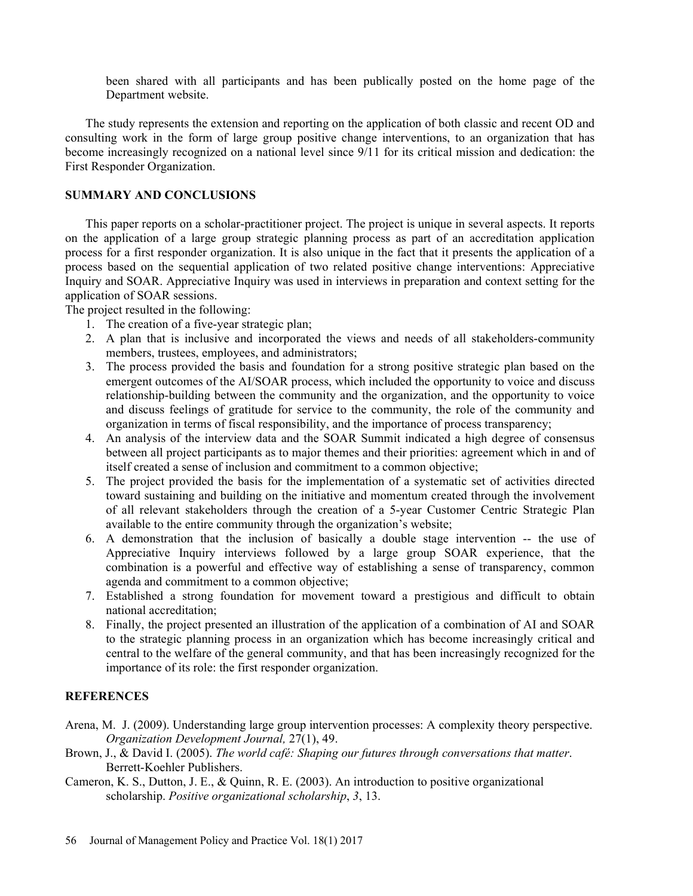been shared with all participants and has been publically posted on the home page of the Department website.

The study represents the extension and reporting on the application of both classic and recent OD and consulting work in the form of large group positive change interventions, to an organization that has become increasingly recognized on a national level since 9/11 for its critical mission and dedication: the First Responder Organization.

## SUMMARY AND CONCLUSIONS

This paper reports on a scholar-practitioner project. The project is unique in several aspects. It reports on the application of a large group strategic planning process as part of an accreditation application process for a first responder organization. It is also unique in the fact that it presents the application of a process based on the sequential application of two related positive change interventions: Appreciative Inquiry and SOAR. Appreciative Inquiry was used in interviews in preparation and context setting for the application of SOAR sessions.

The project resulted in the following:

- 1. The creation of a five-year strategic plan;
- 2. A plan that is inclusive and incorporated the views and needs of all stakeholders-community members, trustees, employees, and administrators;
- 3. The process provided the basis and foundation for a strong positive strategic plan based on the emergent outcomes of the AI/SOAR process, which included the opportunity to voice and discuss relationship-building between the community and the organization, and the opportunity to voice and discuss feelings of gratitude for service to the community, the role of the community and organization in terms of fiscal responsibility, and the importance of process transparency;
- 4. An analysis of the interview data and the SOAR Summit indicated a high degree of consensus between all project participants as to major themes and their priorities: agreement which in and of itself created a sense of inclusion and commitment to a common objective;
- 5. The project provided the basis for the implementation of a systematic set of activities directed toward sustaining and building on the initiative and momentum created through the involvement of all relevant stakeholders through the creation of a 5-year Customer Centric Strategic Plan available to the entire community through the organization's website;
- 6. A demonstration that the inclusion of basically a double stage intervention -- the use of Appreciative Inquiry interviews followed by a large group SOAR experience, that the combination is a powerful and effective way of establishing a sense of transparency, common agenda and commitment to a common objective;
- 7. Established a strong foundation for movement toward a prestigious and difficult to obtain national accreditation;
- 8. Finally, the project presented an illustration of the application of a combination of AI and SOAR to the strategic planning process in an organization which has become increasingly critical and central to the welfare of the general community, and that has been increasingly recognized for the importance of its role: the first responder organization.

## **REFERENCES**

- Arena, M. J. (2009). Understanding large group intervention processes: A complexity theory perspective. Organization Development Journal, 27(1), 49.
- Brown, J., & David I. (2005). The world café: Shaping our futures through conversations that matter.<br>Berrett-Koehler Publishers.
- Cameron, K. S., Dutton, J. E., & Quinn, R. E. (2003). An introduction to positive organizational scholarship. Positive organizational scholarship, 3, 13.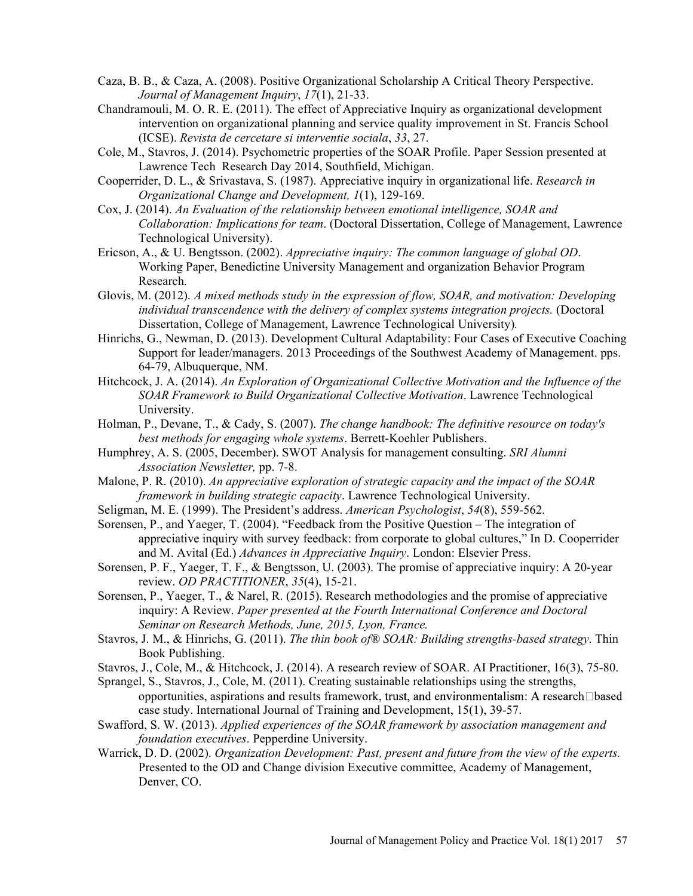- Caza, B. B., & Caza, A. (2008). Positive Organizational Scholarship A Critical Theory Perspective. Journal of Management Inquiry, 17(1), 21-33.
- Chandramouli, M. O. R. E. (2011). The effect of Appreciative Inquiry as organizational development intervention on organizational planning and service quality improvement in St. Francis School (ICSE). Revista de cercetare si interventie sociala, 33, 27.
- Cole, M., Stavros, J. (2014). Psychometric properties of the SOAR Profile. Paper Session presented at Lawrence Tech Research Day 2014, Southfield, Michigan.
- Cooperrider, D. L., & Srivastava, S. (1987). Appreciative inquiry in organizational life. Research in Organizational Change and Development, 1(1), 129-169.
- Cox, J. (2014). An Evaluation of the relationship between emotional intelligence, SOAR and Collaboration: Implications for team. (Doctoral Dissertation, College of Management, Lawrence Technological University).
- Ericson, A., & U. Bengtsson. (2002). Appreciative inquiry: The common language of global OD. Working Paper, Benedictine University Management and organization Behavior Program Research.
- Glovis, M. (2012). A mixed methods study in the expression of flow, SOAR, and motivation: Developing individual transcendence with the delivery of complex systems integration projects. (Doctoral Dissertation, College of Management, Lawrence Technological University).
- Hinrichs, G., Newman, D. (2013). Development Cultural Adaptability: Four Cases of Executive Coaching Support for leader/managers. 2013 Proceedings of the Southwest Academy of Management. pps. 64-79, Albuquerque, NM.
- Hitchcock, J. A. (2014). An Exploration of Organizational Collective Motivation and the Influence of the SOAR Framework to Build Organizational Collective Motivation. Lawrence Technological University.
- Holman, P., Devane, T., & Cady, S. (2007). The change handbook: The definitive resource on today's best methods for engaging whole systems. Berrett-Koehler Publishers.
- Humphrey, A. S. (2005, December). SWOT Analysis for management consulting. SRI Alumni Association Newsletter, pp. 7-8.
- Malone, P. R. (2010). An appreciative exploration of strategic capacity and the impact of the SOAR framework in building strategic capacity. Lawrence Technological University.
- Seligman, M. E. (1999). The President's address. American Psychologist,  $54(8)$ , 559-562.
- Sorensen, P., and Yaeger, T. (2004). "Feedback from the Positive Question  $-$  The integration of appreciative inquiry with survey feedback: from corporate to global cultures," In D. Cooperrider and M. Avital (Ed.) Advances in Appreciative Inquiry. London: Elsevier Press.
- Sorensen, P. F., Yaeger, T. F., & Bengtsson, U. (2003). The promise of appreciative inquiry: A 20-year review. OD PRACTITIONER, 35(4), 15-21.
- Sorensen, P., Yaeger, T., & Narel, R. (2015). Research methodologies and the promise of appreciative inquiry: A Review. Paper presented at the Fourth International Conference and Doctoral Seminar on Research Methods, June, 2015, Lyon, France.
- Stavros, J. M., & Hinrichs, G. (2011). The thin book of® SOAR: Building strengths-based strategy. Thin Book Publishing.
- Stavros, J., Cole, M., & Hitchcock, J. (2014). A research review of SOAR. AI Practitioner, 16(3), 75-80.
- Sprangel, S., Stavros, J., Cole, M. (2011). Creating sustainable relationships using the strengths, opportunities, aspirations and results framework, trust, and environmentalism: A research $\Box$ based case study. International Journal of Training and Development, 15(1), 39-57.
- Swafford, S. W. (2013). Applied experiences of the SOAR framework by association management and foundation executives. Pepperdine University.
- Warrick, D. D. (2002). Organization Development: Past, present and future from the view of the experts. Presented to the OD and Change division Executive committee, Academy of Management, Denver, CO.